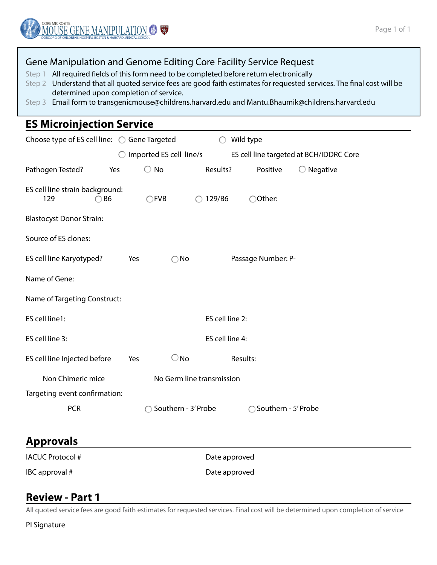### Gene Manipulation and Genome Editing Core Facility Service Request

- Step 1 All required fields of this form need to be completed before return electronically
- Step 2 Understand that all quoted service fees are good faith estimates for requested services. The final cost will be determined upon completion of service.
- Step 3 Email form to transgenicmouse@childrens.harvard.edu and Mantu.Bhaumik@childrens.harvard.edu

## **ES Microinjection Service**

| Choose type of ES cell line:  Coene Targeted             |                           |                         |                     | Wild type           |                                         |  |
|----------------------------------------------------------|---------------------------|-------------------------|---------------------|---------------------|-----------------------------------------|--|
|                                                          |                           | Imported ES cell line/s |                     |                     | ES cell line targeted at BCH/IDDRC Core |  |
| Pathogen Tested?                                         | Yes                       | $\bigcirc$ No           | Results?            | Positive            | $\bigcirc$ Negative                     |  |
| ES cell line strain background:<br>129<br>B <sub>6</sub> |                           | $\bigcirc$ FVB          | 129/B6              | Other:              |                                         |  |
| <b>Blastocyst Donor Strain:</b>                          |                           |                         |                     |                     |                                         |  |
| Source of ES clones:                                     |                           |                         |                     |                     |                                         |  |
| ES cell line Karyotyped?                                 | Yes                       |                         | No                  | Passage Number: P-  |                                         |  |
| Name of Gene:                                            |                           |                         |                     |                     |                                         |  |
| Name of Targeting Construct:                             |                           |                         |                     |                     |                                         |  |
| ES cell line1:                                           |                           |                         |                     | ES cell line 2:     |                                         |  |
| ES cell line 3:                                          |                           |                         |                     | ES cell line 4:     |                                         |  |
| ES cell line Injected before                             | Yes                       | $\bigcirc$ No           |                     | Results:            |                                         |  |
| Non Chimeric mice                                        | No Germ line transmission |                         |                     |                     |                                         |  |
| Targeting event confirmation:                            |                           |                         |                     |                     |                                         |  |
| <b>PCR</b>                                               |                           |                         | Southern - 3' Probe | Southern - 5' Probe |                                         |  |

# **Approvals**

IACUC Protocol # Date approved

IBC approval # Date approved

# **Review - Part 1**

All quoted service fees are good faith estimates for requested services. Final cost will be determined upon completion of service

PI Signature